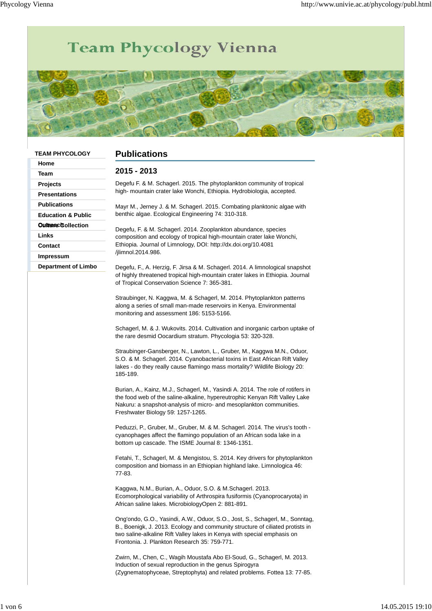## Team Phycology Vienna



| <b>TEAM PHYCOLOGY</b><br>Home | <b>Publications</b>                                                                                                                                                                                                                                                                      |
|-------------------------------|------------------------------------------------------------------------------------------------------------------------------------------------------------------------------------------------------------------------------------------------------------------------------------------|
| Team                          | 2015 - 2013                                                                                                                                                                                                                                                                              |
| Projects                      | Degefu F. & M. Schagerl. 2015. The phytoplankton community of tropical                                                                                                                                                                                                                   |
| <b>Presentations</b>          | high- mountain crater lake Wonchi, Ethiopia. Hydrobiologia, accepted.                                                                                                                                                                                                                    |
| <b>Publications</b>           | Mayr M., Jerney J. & M. Schagerl. 2015. Combating planktonic algae with                                                                                                                                                                                                                  |
| <b>Education &amp; Public</b> | benthic algae. Ecological Engineering 74: 310-318.                                                                                                                                                                                                                                       |
| <b>Outnered Collection</b>    |                                                                                                                                                                                                                                                                                          |
| Links                         | Degefu, F. & M. Schagerl. 2014. Zooplankton abundance, species<br>composition and ecology of tropical high-mountain crater lake Wonchi,                                                                                                                                                  |
| Contact                       | Ethiopia. Journal of Limnology, DOI: http://dx.doi.org/10.4081                                                                                                                                                                                                                           |
| <b>Impressum</b>              | /jlimnol.2014.986.                                                                                                                                                                                                                                                                       |
| <b>Department of Limbo</b>    | Degefu, F., A. Herzig, F. Jirsa & M. Schagerl. 2014. A limnological snapshot<br>of highly threatened tropical high-mountain crater lakes in Ethiopia. Journal<br>of Tropical Conservation Science 7: 365-381.                                                                            |
|                               | Straubinger, N. Kaggwa, M. & Schagerl, M. 2014. Phytoplankton patterns<br>along a series of small man-made reservoirs in Kenya. Environmental<br>monitoring and assessment 186: 5153-5166.                                                                                               |
|                               | Schagerl, M. & J. Wukovits. 2014. Cultivation and inorganic carbon uptake of<br>the rare desmid Oocardium stratum. Phycologia 53: 320-328.                                                                                                                                               |
|                               | Straubinger-Gansberger, N., Lawton, L., Gruber, M., Kaggwa M.N., Oduor,<br>S.O. & M. Schagerl. 2014. Cyanobacterial toxins in East African Rift Valley<br>lakes - do they really cause flamingo mass mortality? Wildlife Biology 20:<br>185-189.                                         |
|                               | Burian, A., Kainz, M.J., Schagerl, M., Yasindi A. 2014. The role of rotifers in<br>the food web of the saline-alkaline, hypereutrophic Kenyan Rift Valley Lake<br>Nakuru: a snapshot-analysis of micro- and mesoplankton communities.<br>Freshwater Biology 59: 1257-1265.               |
|                               | Peduzzi, P., Gruber, M., Gruber, M. & M. Schagerl. 2014. The virus's tooth -<br>cyanophages affect the flamingo population of an African soda lake in a<br>bottom up cascade. The ISME Journal 8: 1346-1351.                                                                             |
|                               | Fetahi, T., Schagerl, M. & Mengistou, S. 2014. Key drivers for phytoplankton<br>composition and biomass in an Ethiopian highland lake. Limnologica 46:<br>77-83.                                                                                                                         |
|                               | Kaggwa, N.M., Burian, A., Oduor, S.O. & M.Schagerl. 2013.<br>Ecomorphological variability of Arthrospira fusiformis (Cyanoprocaryota) in<br>African saline lakes. MicrobiologyOpen 2: 881-891.                                                                                           |
|                               | Ong'ondo, G.O., Yasindi, A.W., Oduor, S.O., Jost, S., Schagerl, M., Sonntag,<br>B., Boenigk, J. 2013. Ecology and community structure of ciliated protists in<br>two saline-alkaline Rift Valley lakes in Kenya with special emphasis on<br>Frontonia. J. Plankton Research 35: 759-771. |
|                               | Zwirn, M., Chen, C., Wagih Moustafa Abo El-Soud, G., Schagerl, M. 2013.<br>Induction of sexual reproduction in the genus Spirogyra<br>(Zygnematophyceae, Streptophyta) and related problems. Fottea 13: 77-85.                                                                           |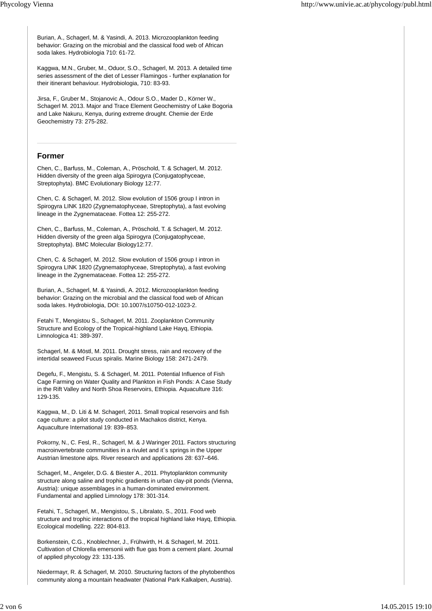Burian, A., Schagerl, M. & Yasindi, A. 2013. Microzooplankton feeding behavior: Grazing on the microbial and the classical food web of African soda lakes. Hydrobiologia 710: 61-72.

Kaggwa, M.N., Gruber, M., Oduor, S.O., Schagerl, M. 2013. A detailed time series assessment of the diet of Lesser Flamingos - further explanation for their itinerant behaviour. Hydrobiologia, 710: 83-93.

Jirsa, F., Gruber M., Stojanovic A., Odour S.O., Mader D., Körner W., Schagerl M. 2013. Major and Trace Element Geochemistry of Lake Bogoria and Lake Nakuru, Kenya, during extreme drought. Chemie der Erde Geochemistry 73: 275-282.

## **Former**

Chen, C., Barfuss, M., Coleman, A., Pröschold, T. & Schagerl, M. 2012. Hidden diversity of the green alga Spirogyra (Conjugatophyceae, Streptophyta). BMC Evolutionary Biology 12:77.

Chen, C. & Schagerl, M. 2012. Slow evolution of 1506 group I intron in Spirogyra LINK 1820 (Zygnematophyceae, Streptophyta), a fast evolving lineage in the Zygnemataceae. Fottea 12: 255-272.

Chen, C., Barfuss, M., Coleman, A., Pröschold, T. & Schagerl, M. 2012. Hidden diversity of the green alga Spirogyra (Conjugatophyceae, Streptophyta). BMC Molecular Biology12:77.

Chen, C. & Schagerl, M. 2012. Slow evolution of 1506 group I intron in Spirogyra LINK 1820 (Zygnematophyceae, Streptophyta), a fast evolving lineage in the Zygnemataceae. Fottea 12: 255-272.

Burian, A., Schagerl, M. & Yasindi, A. 2012. Microzooplankton feeding behavior: Grazing on the microbial and the classical food web of African soda lakes. Hydrobiologia, DOI: 10.1007/s10750-012-1023-2.

Fetahi T., Mengistou S., Schagerl, M. 2011. Zooplankton Community Structure and Ecology of the Tropical-highland Lake Hayq, Ethiopia. Limnologica 41: 389-397.

Schagerl, M. & Möstl, M. 2011. Drought stress, rain and recovery of the intertidal seaweed Fucus spiralis. Marine Biology 158: 2471-2479.

Degefu, F., Mengistu, S. & Schagerl, M. 2011. Potential Influence of Fish Cage Farming on Water Quality and Plankton in Fish Ponds: A Case Study in the Rift Valley and North Shoa Reservoirs, Ethiopia. Aquaculture 316: 129-135.

Kaggwa, M., D. Liti & M. Schagerl, 2011. Small tropical reservoirs and fish cage culture: a pilot study conducted in Machakos district, Kenya. Aquaculture International 19: 839–853.

Pokorny, N., C. Fesl, R., Schagerl, M. & J Waringer 2011. Factors structuring macroinvertebrate communities in a rivulet and it´s springs in the Upper Austrian limestone alps. River research and applications 28: 637–646.

Schagerl, M., Angeler, D.G. & Biester A., 2011. Phytoplankton community structure along saline and trophic gradients in urban clay-pit ponds (Vienna, Austria): unique assemblages in a human-dominated environment. Fundamental and applied Limnology 178: 301-314.

Fetahi, T., Schagerl, M., Mengistou, S., Libralato, S., 2011. Food web structure and trophic interactions of the tropical highland lake Hayq, Ethiopia. Ecological modelling. 222: 804-813.

Borkenstein, C.G., Knoblechner, J., Frühwirth, H. & Schagerl, M. 2011. Cultivation of Chlorella emersonii with flue gas from a cement plant. Journal of applied phycology 23: 131-135.

Niedermayr, R. & Schagerl, M. 2010. Structuring factors of the phytobenthos community along a mountain headwater (National Park Kalkalpen, Austria).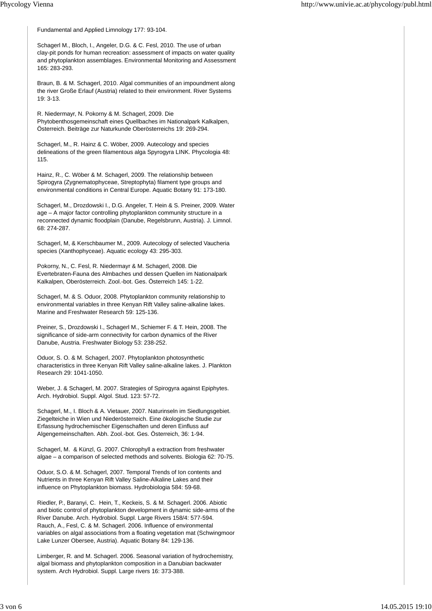Fundamental and Applied Limnology 177: 93-104.

Schagerl M., Bloch, I., Angeler, D.G. & C. Fesl, 2010. The use of urban clay-pit ponds for human recreation: assessment of impacts on water quality and phytoplankton assemblages. Environmental Monitoring and Assessment 165: 283-293.

Braun, B. & M. Schagerl, 2010. Algal communities of an impoundment along the river Große Erlauf (Austria) related to their environment. River Systems 19: 3-13.

R. Niedermayr, N. Pokorny & M. Schagerl, 2009. Die Phytobenthosgemeinschaft eines Quellbaches im Nationalpark Kalkalpen, Österreich. Beiträge zur Naturkunde Oberösterreichs 19: 269-294.

Schagerl, M., R. Hainz & C. Wöber, 2009. Autecology and species delineations of the green filamentous alga Spyrogyra LINK. Phycologia 48: 115.

Hainz, R., C. Wöber & M. Schagerl, 2009. The relationship between Spirogyra (Zygnematophyceae, Streptophyta) filament type groups and environmental conditions in Central Europe. Aquatic Botany 91: 173-180.

Schagerl, M., Drozdowski I., D.G. Angeler, T. Hein & S. Preiner, 2009. Water age – A major factor controlling phytoplankton community structure in a reconnected dynamic floodplain (Danube, Regelsbrunn, Austria). J. Limnol. 68: 274-287.

Schagerl, M, & Kerschbaumer M., 2009. Autecology of selected Vaucheria species (Xanthophyceae). Aquatic ecology 43: 295-303.

Pokorny, N., C. Fesl, R. Niedermayr & M. Schagerl, 2008. Die Evertebraten-Fauna des Almbaches und dessen Quellen im Nationalpark Kalkalpen, Oberösterreich. Zool.-bot. Ges. Österreich 145: 1-22.

Schagerl, M. & S. Oduor, 2008. Phytoplankton community relationship to environmental variables in three Kenyan Rift Valley saline-alkaline lakes. Marine and Freshwater Research 59: 125-136.

Preiner, S., Drozdowski I., Schagerl M., Schiemer F. & T. Hein, 2008. The significance of side-arm connectivity for carbon dynamics of the River Danube, Austria. Freshwater Biology 53: 238-252.

Oduor, S. O. & M. Schagerl, 2007. Phytoplankton photosynthetic characteristics in three Kenyan Rift Valley saline-alkaline lakes. J. Plankton Research 29: 1041-1050.

Weber, J. & Schagerl, M. 2007. Strategies of Spirogyra against Epiphytes. Arch. Hydrobiol. Suppl. Algol. Stud. 123: 57-72.

Schagerl, M., I. Bloch & A. Vietauer, 2007. Naturinseln im Siedlungsgebiet. Ziegelteiche in Wien und Niederösterreich. Eine ökologische Studie zur Erfassung hydrochemischer Eigenschaften und deren Einfluss auf Algengemeinschaften. Abh. Zool.-bot. Ges. Österreich, 36: 1-94.

Schagerl, M. & Künzl, G. 2007. Chlorophyll a extraction from freshwater algae – a comparison of selected methods and solvents. Biologia 62: 70-75.

Oduor, S.O. & M. Schagerl, 2007. Temporal Trends of Ion contents and Nutrients in three Kenyan Rift Valley Saline-Alkaline Lakes and their influence on Phytoplankton biomass. Hydrobiologia 584: 59-68.

Riedler, P., Baranyi, C. Hein, T., Keckeis, S. & M. Schagerl. 2006. Abiotic and biotic control of phytoplankton development in dynamic side-arms of the River Danube. Arch. Hydrobiol. Suppl. Large Rivers 158/4: 577-594. Rauch, A., Fesl, C. & M. Schagerl. 2006. Influence of environmental variables on algal associations from a floating vegetation mat (Schwingmoor Lake Lunzer Obersee, Austria). Aquatic Botany 84: 129-136.

Limberger, R. and M. Schagerl. 2006. Seasonal variation of hydrochemistry, algal biomass and phytoplankton composition in a Danubian backwater system. Arch Hydrobiol. Suppl. Large rivers 16: 373-388.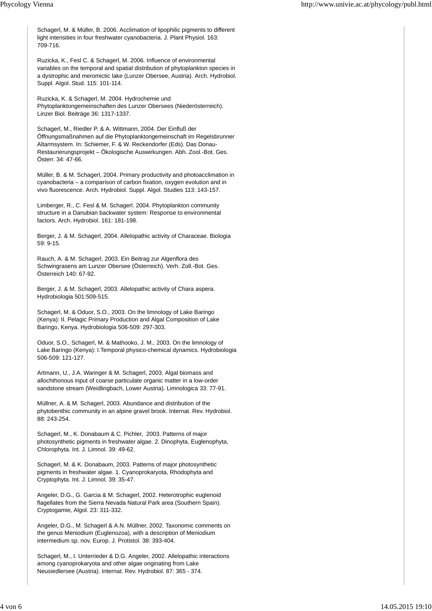Schagerl, M. & Müller, B. 2006. Acclimation of lipophilic pigments to different light intensities in four freshwater cyanobacteria. J. Plant Physiol. 163: 709-716.

Ruzicka, K., Fesl C. & Schagerl, M. 2006. Influence of environmental variables on the temporal and spatial distribution of phytoplankton species in a dystrophic and meromictic lake (Lunzer Obersee, Austria). Arch. Hydrobiol. Suppl. Algol. Stud. 115: 101-114.

Ruzicka, K. & Schagerl, M. 2004. Hydrochemie und Phytoplanktongemeinschaften des Lunzer Obersees (Niederösterreich). Linzer Biol. Beiträge 36: 1317-1337.

Schagerl, M., Riedler P. & A. Wittmann, 2004. Der Einfluß der Öffnungsmaßnahmen auf die Phytoplanktongemeinschaft im Regelsbrunner Altarmsystem. In: Schiemer, F. & W. Reckendorfer (Eds). Das Donau-Restaurierungsprojekt – Ökologische Auswirkungen. Abh. Zool.-Bot. Ges. Österr. 34: 47-66.

Müller, B. & M. Schagerl, 2004. Primary productivity and photoacclimation in cyanobacteria – a comparison of carbon fixation, oxygen evolution and in vivo fluorescence. Arch. Hydrobiol. Suppl. Algol. Studies 113: 143-157.

Limberger, R., C. Fesl & M. Schagerl. 2004. Phytoplankton community structure in a Danubian backwater system: Response to environmental factors. Arch. Hydrobiol. 161: 181-198.

Berger, J. & M. Schagerl, 2004. Allelopathic activity of Characeae. Biologia 59: 9-15.

Rauch, A. & M. Schagerl, 2003. Ein Beitrag zur Algenflora des Schwingrasens am Lunzer Obersee (Österreich). Verh. Zoll.-Bot. Ges. Österreich 140: 67-92.

Berger, J. & M. Schagerl, 2003. Allelopathic activity of Chara aspera. Hydrobiologia 501:509-515.

Schagerl, M. & Oduor, S.O., 2003. On the limnology of Lake Baringo (Kenya): II. Pelagic Primary Production and Algal Composition of Lake Baringo, Kenya. Hydrobiologia 506-509: 297-303.

Oduor, S.O., Schagerl, M. & Mathooko, J. M., 2003. On the limnology of Lake Baringo (Kenya): I.Temporal physico-chemical dynamics. Hydrobiologia 506-509: 121-127.

Artmann, U., J.A. Waringer & M. Schagerl, 2003. Algal biomass and allochthonous input of coarse particulate organic matter in a low-order sandstone stream (Weidlingbach, Lower Austria). Limnologica 33: 77-91.

Müllner, A. & M. Schagerl, 2003. Abundance and distribution of the phytobenthic community in an alpine gravel brook. Internat. Rev. Hydrobiol. 88: 243-254.

Schagerl, M., K. Donabaum & C. Pichler, 2003. Patterns of major photosynthetic pigments in freshwater algae. 2. Dinophyta, Euglenophyta, Chlorophyta. Int. J. Limnol. 39: 49-62.

Schagerl, M. & K. Donabaum, 2003. Patterns of major photosynthetic pigments in freshwater algae. 1. Cyanoprokaryota, Rhodophyta and Cryptophyta. Int. J. Limnol. 39: 35-47.

Angeler, D.G., G. Garcia & M. Schagerl, 2002. Heterotrophic euglenoid flagellates from the Sierra Nevada Natural Park area (Southern Spain). Cryptogamie, Algol. 23: 311-332.

Angeler, D.G., M. Schagerl & A.N. Müllner, 2002. Taxonomic comments on the genus Meniodium (Euglenozoa), with a description of Meniodium intermedium sp. nov. Europ. J. Protistol. 38: 393-404.

Schagerl, M., I. Unterrieder & D.G. Angeler, 2002. Allelopathic interactions among cyanoprokaryota and other algae originating from Lake Neusiedlersee (Austria). Internat. Rev. Hydrobiol. 87: 365 - 374.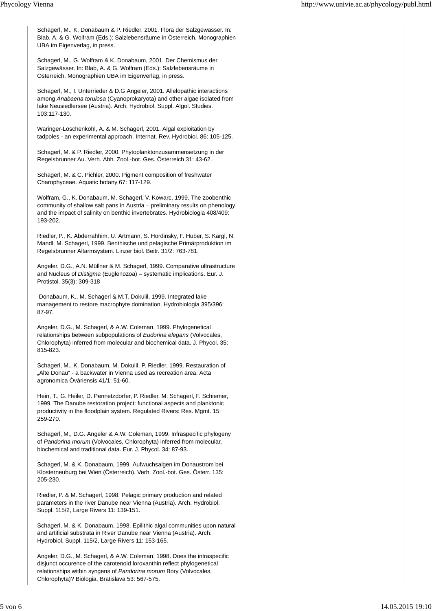Schagerl, M., K. Donabaum & P. Riedler, 2001. Flora der Salzgewässer. In: Blab, A. & G. Wolfram (Eds.): Salzlebensräume in Österreich, Monographien UBA im Eigenverlag, in press.

Schagerl, M., G. Wolfram & K. Donabaum, 2001. Der Chemismus der Salzgewässer. In: Blab, A. & G. Wolfram (Eds.): Salzlebensräume in Österreich, Monographien UBA im Eigenverlag, in press.

Schagerl, M., I. Unterrieder & D.G Angeler, 2001. Allelopathic interactions among *Anabaena torulosa* (Cyanoprokaryota) and other algae isolated from lake Neusiedlersee (Austria). Arch. Hydrobiol. Suppl. Algol. Studies. 103:117-130.

Waringer-Löschenkohl, A. & M. Schagerl, 2001. Algal exploitation by tadpoles - an experimental approach. Internat. Rev. Hydrobiol. 86: 105-125.

Schagerl, M. & P. Riedler, 2000. Phytoplanktonzusammensetzung in der Regelsbrunner Au. Verh. Abh. Zool.-bot. Ges. Österreich 31: 43-62.

Schagerl, M. & C. Pichler, 2000. Pigment composition of freshwater Charophyceae. Aquatic botany 67: 117-129.

Wolfram, G., K. Donabaum, M. Schagerl, V. Kowarc, 1999. The zoobenthic community of shallow salt pans in Austria – preliminary results on phenology and the impact of salinity on benthic invertebrates. Hydrobiologia 408/409: 193-202.

Riedler, P., K. Abderrahhim, U. Artmann, S. Hordinsky, F. Huber, S. Kargl, N. Mandl, M. Schagerl, 1999. Benthische und pelagische Primärproduktion im Regelsbrunner Altarmsystem. Linzer biol. Beitr. 31/2: 763-781.

Angeler, D.G., A.N. Müllner & M. Schagerl, 1999. Comparative ultrastructure and Nucleus of *Distigma* (Euglenozoa) – systematic implications. Eur. J. Protistol. 35(3): 309-318

 Donabaum, K., M. Schagerl & M.T. Dokulil, 1999. Integrated lake management to restore macrophyte domination. Hydrobiologia 395/396: 87-97.

Angeler, D.G., M. Schagerl, & A.W. Coleman, 1999. Phylogenetical relationships between subpopulations of *Eudorina elegans* (Volvocales, Chlorophyta) inferred from molecular and biochemical data. J. Phycol. 35: 815-823.

Schagerl, M., K. Donabaum, M. Dokulil, P. Riedler, 1999. Restauration of "Alte Donau" - a backwater in Vienna used as recreation area. Acta agronomica Òváriensis 41/1: 51-60.

Hein, T., G. Heiler, D. Pennetzdorfer, P. Riedler, M. Schagerl, F. Schiemer, 1999. The Danube restoration project: functional aspects and planktonic productivity in the floodplain system. Regulated Rivers: Res. Mgmt. 15: 259-270.

Schagerl, M., D.G. Angeler & A.W. Coleman, 1999. Infraspecific phylogeny of *Pandorina morum* (Volvocales, Chlorophyta) inferred from molecular, biochemical and traditional data. Eur. J. Phycol. 34: 87-93.

Schagerl, M. & K. Donabaum, 1999. Aufwuchsalgen im Donaustrom bei Klosterneuburg bei Wien (Österreich). Verh. Zool.-bot. Ges. Österr. 135: 205-230.

Riedler, P. & M. Schagerl, 1998. Pelagic primary production and related parameters in the river Danube near Vienna (Austria). Arch. Hydrobiol. Suppl. 115/2, Large Rivers 11: 139-151.

Schagerl, M. & K. Donabaum, 1998. Epilithic algal communities upon natural and artificial substrata in River Danube near Vienna (Austria). Arch. Hydrobiol. Suppl. 115/2, Large Rivers 11: 153-165.

Angeler, D.G., M. Schagerl, & A.W. Coleman, 1998. Does the intraspecific disjunct occurence of the carotenoid loroxanthin reflect phylogenetical relationships within syngens of *Pandorina morum* Bory (Volvocales, Chlorophyta)? Biologia, Bratislava 53: 567-575.